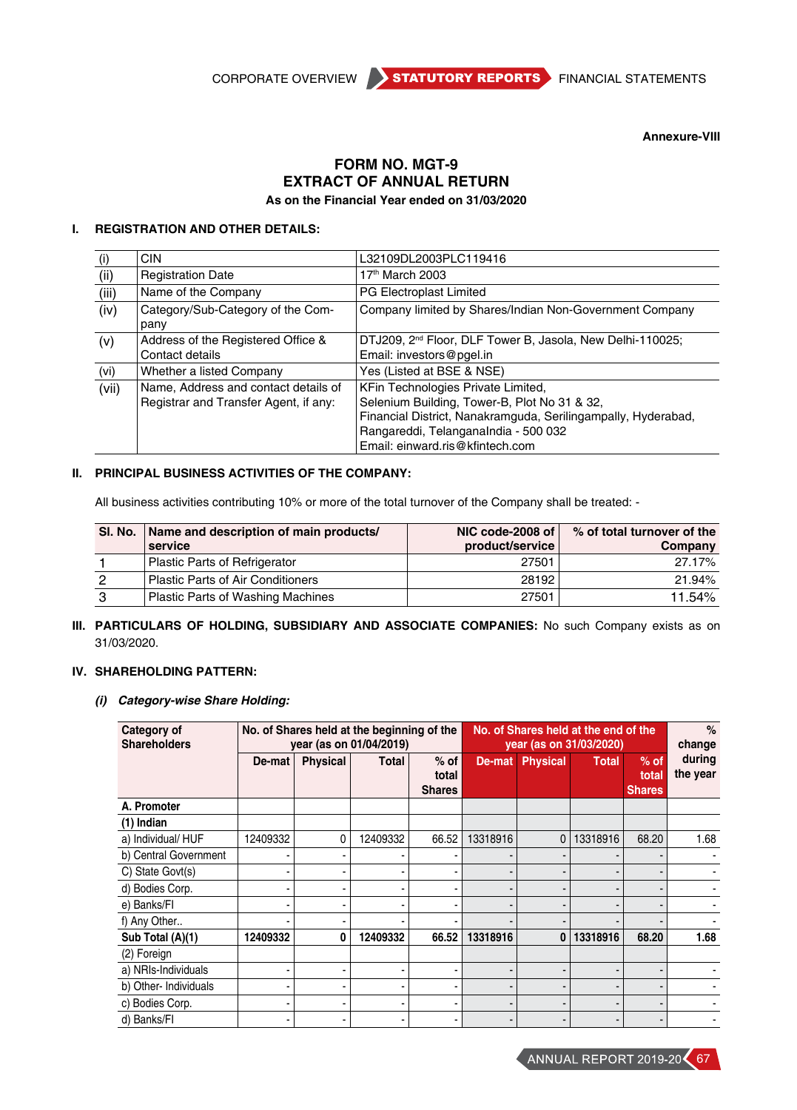

**Annexure-VIII**

# **Form No. MGT-9 EXTRACT OF ANNUAL RETURN As on the Financial Year ended on 31/03/2020**

# **I. REGISTRATION AND OTHER DETAILS:**

| (i)   | <b>CIN</b>                                                                    | L32109DL2003PLC119416                                                                                                                                                                                                          |
|-------|-------------------------------------------------------------------------------|--------------------------------------------------------------------------------------------------------------------------------------------------------------------------------------------------------------------------------|
| (i)   | <b>Registration Date</b>                                                      | 17 <sup>th</sup> March 2003                                                                                                                                                                                                    |
| (iii) | Name of the Company                                                           | PG Electroplast Limited                                                                                                                                                                                                        |
| (iv)  | Category/Sub-Category of the Com-<br>pany                                     | Company limited by Shares/Indian Non-Government Company                                                                                                                                                                        |
| (v)   | Address of the Registered Office &<br>Contact details                         | DTJ209, 2 <sup>nd</sup> Floor, DLF Tower B, Jasola, New Delhi-110025;<br>Email: investors@pgel.in                                                                                                                              |
| (vi)  | Whether a listed Company                                                      | Yes (Listed at BSE & NSE)                                                                                                                                                                                                      |
| (vii) | Name, Address and contact details of<br>Registrar and Transfer Agent, if any: | KFin Technologies Private Limited,<br>Selenium Building, Tower-B, Plot No 31 & 32,<br>Financial District, Nanakramguda, Serilingampally, Hyderabad,<br>Rangareddi, Telanganalndia - 500 032<br>Email: einward.ris@kfintech.com |

# **II. PRINCIPAL BUSINESS ACTIVITIES OF THE COMPANY:**

All business activities contributing 10% or more of the total turnover of the Company shall be treated: -

| SI. No. | Name and description of main products/<br>service | NIC code-2008 of<br>product/service | % of total turnover of the<br>Company |
|---------|---------------------------------------------------|-------------------------------------|---------------------------------------|
|         | <b>Plastic Parts of Refrigerator</b>              | 27501                               | 27.17%                                |
| 2       | <b>Plastic Parts of Air Conditioners</b>          | 28192                               | 21.94%                                |
| 3       | Plastic Parts of Washing Machines                 | 27501                               | 11.54%                                |

# **III. PARTICULARS OF HOLDING, SUBSIDIARY AND ASSOCIATE COMPANIES:** No such Company exists as on 31/03/2020.

## **IV. SHAREHOLDING PATTERN:**

# *(i) Category-wise Share Holding:*

| Category of<br><b>Shareholders</b> |          |                 | No. of Shares held at the beginning of the<br>year (as on 01/04/2019) | No. of Shares held at the end of the<br>year (as on 31/03/2020) |          |                          |              | %<br>change                      |                    |
|------------------------------------|----------|-----------------|-----------------------------------------------------------------------|-----------------------------------------------------------------|----------|--------------------------|--------------|----------------------------------|--------------------|
|                                    | De-mat   | <b>Physical</b> | <b>Total</b>                                                          | $%$ of<br>total<br><b>Shares</b>                                | De-mat   | <b>Physical</b>          | <b>Total</b> | $%$ of<br>total<br><b>Shares</b> | during<br>the year |
| A. Promoter                        |          |                 |                                                                       |                                                                 |          |                          |              |                                  |                    |
| $(1)$ Indian                       |          |                 |                                                                       |                                                                 |          |                          |              |                                  |                    |
| a) Individual/ HUF                 | 12409332 | 0               | 12409332                                                              | 66.52                                                           | 13318916 | $\mathbf 0$              | 13318916     | 68.20                            | 1.68               |
| b) Central Government              |          |                 |                                                                       |                                                                 |          |                          |              |                                  |                    |
| C) State Govt(s)                   |          |                 |                                                                       |                                                                 |          |                          |              |                                  |                    |
| d) Bodies Corp.                    |          |                 |                                                                       | $\overline{\phantom{0}}$                                        |          |                          |              |                                  |                    |
| e) Banks/FI                        |          |                 |                                                                       |                                                                 |          |                          |              |                                  |                    |
| f) Any Other                       |          |                 |                                                                       |                                                                 |          |                          |              |                                  |                    |
| Sub Total (A)(1)                   | 12409332 | 0               | 12409332                                                              | 66.52                                                           | 13318916 | $\bf{0}$                 | 13318916     | 68.20                            | 1.68               |
| (2) Foreign                        |          |                 |                                                                       |                                                                 |          |                          |              |                                  |                    |
| a) NRIs-Individuals                |          |                 |                                                                       | $\blacksquare$                                                  |          |                          |              |                                  |                    |
| b) Other- Individuals              |          |                 |                                                                       | $\blacksquare$                                                  |          | $\overline{\phantom{0}}$ |              |                                  |                    |
| c) Bodies Corp.                    |          |                 |                                                                       |                                                                 |          | $\overline{\phantom{0}}$ |              |                                  |                    |
| d) Banks/Fl                        |          |                 |                                                                       |                                                                 |          |                          |              |                                  |                    |

ANNUAL REPORT 2019-20 67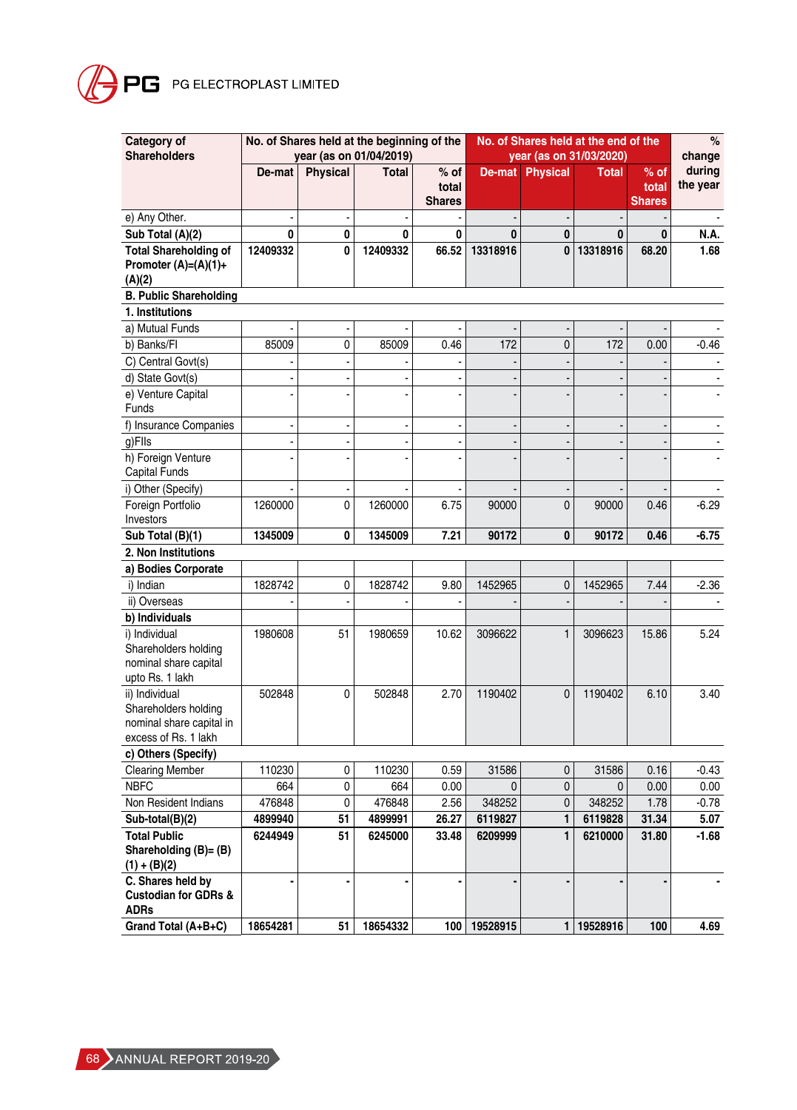# **PG** PG ELECTROPLAST LIMITED

| Category of<br><b>Shareholders</b>                                                         |          |                 | No. of Shares held at the beginning of the<br>year (as on 01/04/2019) |                                  | No. of Shares held at the end of the<br>year (as on 31/03/2020) |                        |              |                                  | $\%$<br>change     |
|--------------------------------------------------------------------------------------------|----------|-----------------|-----------------------------------------------------------------------|----------------------------------|-----------------------------------------------------------------|------------------------|--------------|----------------------------------|--------------------|
|                                                                                            | De-mat   | <b>Physical</b> | <b>Total</b>                                                          | $%$ of<br>total<br><b>Shares</b> |                                                                 | <b>De-mat Physical</b> | <b>Total</b> | $%$ of<br>total<br><b>Shares</b> | during<br>the year |
| e) Any Other.                                                                              |          |                 |                                                                       |                                  |                                                                 |                        |              |                                  |                    |
| Sub Total (A)(2)                                                                           | 0        | 0               | $\bf{0}$                                                              | 0                                | $\bf{0}$                                                        | $\bf{0}$               | 0            | $\bf{0}$                         | N.A.               |
| <b>Total Shareholding of</b><br>Promoter $(A)=(A)(1)+$<br>(A)(2)                           | 12409332 | 0               | 12409332                                                              | 66.52                            | 13318916                                                        | 0                      | 13318916     | 68.20                            | 1.68               |
| <b>B. Public Shareholding</b>                                                              |          |                 |                                                                       |                                  |                                                                 |                        |              |                                  |                    |
| 1. Institutions                                                                            |          |                 |                                                                       |                                  |                                                                 |                        |              |                                  |                    |
| a) Mutual Funds                                                                            |          |                 |                                                                       |                                  |                                                                 |                        |              |                                  |                    |
| b) Banks/Fl                                                                                | 85009    | 0               | 85009                                                                 | 0.46                             | 172                                                             | 0                      | 172          | 0.00                             | $-0.46$            |
| C) Central Govt(s)                                                                         |          |                 |                                                                       |                                  |                                                                 |                        |              |                                  |                    |
| d) State Govt(s)                                                                           |          |                 |                                                                       |                                  |                                                                 |                        |              |                                  |                    |
| e) Venture Capital<br>Funds                                                                |          |                 |                                                                       |                                  |                                                                 |                        |              |                                  |                    |
| f) Insurance Companies                                                                     |          |                 |                                                                       |                                  |                                                                 |                        |              |                                  |                    |
| g)Flls                                                                                     |          |                 |                                                                       |                                  |                                                                 |                        |              |                                  |                    |
| h) Foreign Venture<br><b>Capital Funds</b>                                                 |          |                 |                                                                       |                                  |                                                                 |                        |              |                                  |                    |
| i) Other (Specify)                                                                         |          |                 |                                                                       |                                  |                                                                 |                        |              |                                  |                    |
| Foreign Portfolio<br>Investors                                                             | 1260000  | 0               | 1260000                                                               | 6.75                             | 90000                                                           | $\mathbf{0}$           | 90000        | 0.46                             | $-6.29$            |
| Sub Total (B)(1)                                                                           | 1345009  | 0               | 1345009                                                               | 7.21                             | 90172                                                           | 0                      | 90172        | 0.46                             | $-6.75$            |
| 2. Non Institutions                                                                        |          |                 |                                                                       |                                  |                                                                 |                        |              |                                  |                    |
| a) Bodies Corporate                                                                        |          |                 |                                                                       |                                  |                                                                 |                        |              |                                  |                    |
| i) Indian                                                                                  | 1828742  | 0               | 1828742                                                               | 9.80                             | 1452965                                                         | 0                      | 1452965      | 7.44                             | $-2.36$            |
| ii) Overseas                                                                               |          |                 |                                                                       |                                  |                                                                 |                        |              |                                  |                    |
| b) Individuals                                                                             |          |                 |                                                                       |                                  |                                                                 |                        |              |                                  |                    |
| i) Individual<br>Shareholders holding<br>nominal share capital<br>upto Rs. 1 lakh          | 1980608  | 51              | 1980659                                                               | 10.62                            | 3096622                                                         | $\mathbf{1}$           | 3096623      | 15.86                            | 5.24               |
| ii) Individual<br>Shareholders holding<br>nominal share capital in<br>excess of Rs. 1 lakh | 502848   | 0               | 502848                                                                | 2.70                             | 1190402                                                         | $\mathbf{0}$           | 1190402      | 6.10                             | 3.40               |
| c) Others (Specify)                                                                        |          |                 |                                                                       |                                  |                                                                 |                        |              |                                  |                    |
| <b>Clearing Member</b>                                                                     | 110230   | 0               | 110230                                                                | 0.59                             | 31586                                                           | 0                      | 31586        | 0.16                             | $-0.43$            |
| <b>NBFC</b>                                                                                | 664      | 0               | 664                                                                   | 0.00                             | $\mathbf{0}$                                                    | 0                      | 0            | 0.00                             | 0.00               |
| Non Resident Indians                                                                       | 476848   | 0               | 476848                                                                | 2.56                             | 348252                                                          | 0                      | 348252       | 1.78                             | $-0.78$            |
| Sub-total(B)(2)                                                                            | 4899940  | 51              | 4899991                                                               | 26.27                            | 6119827                                                         | 1                      | 6119828      | 31.34                            | 5.07               |
| <b>Total Public</b><br>Shareholding (B)= (B)<br>$(1) + (B)(2)$<br>C. Shares held by        | 6244949  | 51              | 6245000                                                               | 33.48                            | 6209999                                                         | $\mathbf{1}$           | 6210000      | 31.80                            | $-1.68$            |
| <b>Custodian for GDRs &amp;</b><br><b>ADRs</b>                                             |          |                 |                                                                       |                                  |                                                                 |                        |              |                                  |                    |
| Grand Total (A+B+C)                                                                        | 18654281 | 51              | 18654332                                                              |                                  | 100 19528915                                                    |                        | 1 19528916   | 100                              | 4.69               |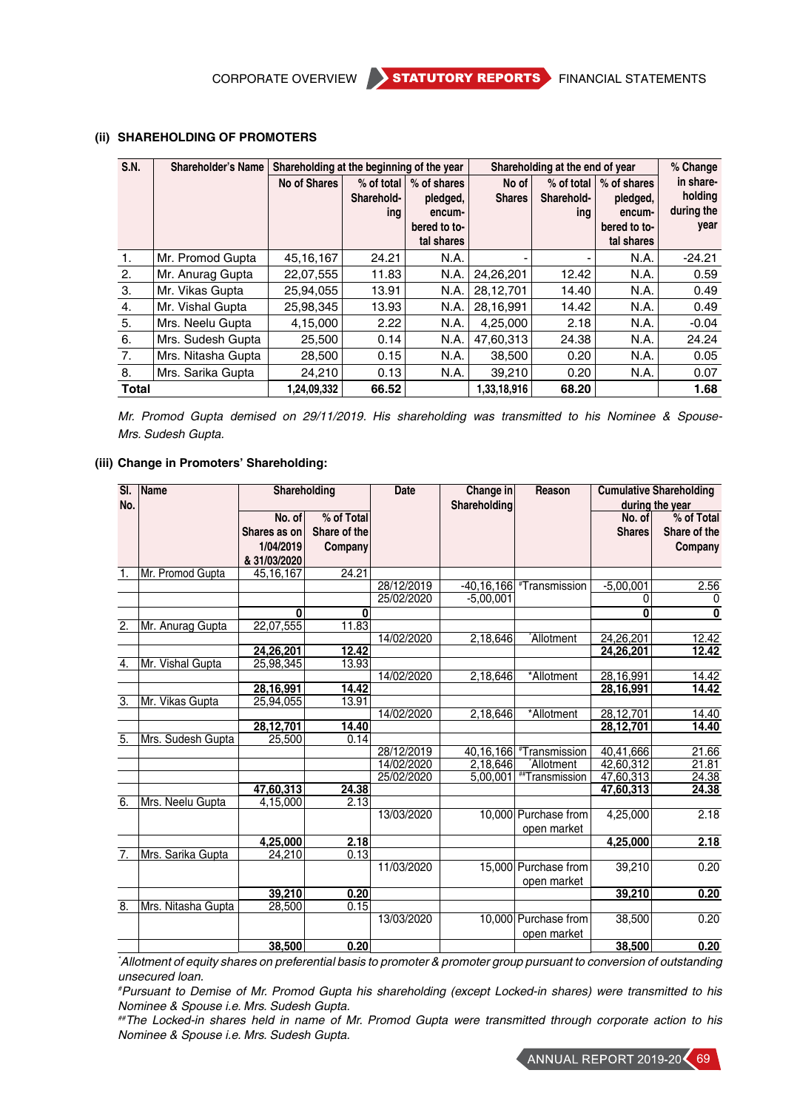#### **(ii) SHAREHOLDING OF PROMOTERS**

| <b>S.N.</b>  | <b>Shareholder's Name</b> | Shareholding at the beginning of the year |                   |                    |               | Shareholding at the end of year |                    | % Change             |
|--------------|---------------------------|-------------------------------------------|-------------------|--------------------|---------------|---------------------------------|--------------------|----------------------|
|              |                           | <b>No of Shares</b>                       | $%$ of total      | % of shares        | No of         | $%$ of total                    | % of shares        | in share-<br>holding |
|              |                           |                                           | Sharehold-<br>ing | pledged,<br>encum- | <b>Shares</b> | Sharehold-<br>ing               | pledged,<br>encum- | during the           |
|              |                           |                                           |                   | bered to to-       |               |                                 | bered to to-       | year                 |
|              |                           |                                           |                   | tal shares         |               |                                 | tal shares         |                      |
| 1.           | Mr. Promod Gupta          | 45, 16, 167                               | 24.21             | N.A.               |               | ۰                               | N.A.               | $-24.21$             |
| 2.           | Mr. Anurag Gupta          | 22,07,555                                 | 11.83             | N.A.               | 24,26,201     | 12.42                           | N.A.               | 0.59                 |
| 3.           | Mr. Vikas Gupta           | 25,94,055                                 | 13.91             | N.A.               | 28,12,701     | 14.40                           | N.A.               | 0.49                 |
| 4.           | Mr. Vishal Gupta          | 25.98.345                                 | 13.93             | N.A.               | 28.16.991     | 14.42                           | N.A.               | 0.49                 |
| 5.           | Mrs. Neelu Gupta          | 4,15,000                                  | 2.22              | N.A.               | 4,25,000      | 2.18                            | N.A.               | $-0.04$              |
| 6.           | Mrs. Sudesh Gupta         | 25,500                                    | 0.14              | N.A.               | 47.60.313     | 24.38                           | N.A.               | 24.24                |
| 7.           | Mrs. Nitasha Gupta        | 28,500                                    | 0.15              | N.A.               | 38,500        | 0.20                            | N.A.               | 0.05                 |
| 8.           | Mrs. Sarika Gupta         | 24,210                                    | 0.13              | N.A.               | 39,210        | 0.20                            | N.A.               | 0.07                 |
| <b>Total</b> |                           | 1,24,09,332                               | 66.52             |                    | 1,33,18,916   | 68.20                           |                    | 1.68                 |

*Mr. Promod Gupta demised on 29/11/2019. His shareholding was transmitted to his Nominee & Spouse-Mrs. Sudesh Gupta.*

#### **(iii) Change in Promoters' Shareholding:**

| SI.              | Name               | Shareholding |              | <b>Date</b> | Change in      | Reason                             |                        | <b>Cumulative Shareholding</b> |
|------------------|--------------------|--------------|--------------|-------------|----------------|------------------------------------|------------------------|--------------------------------|
| No.              |                    |              |              |             | Shareholding   |                                    |                        | during the year                |
|                  |                    | No. of       | % of Total   |             |                |                                    | No. of                 | % of Total                     |
|                  |                    | Shares as on | Share of the |             |                |                                    | <b>Shares</b>          | Share of the                   |
|                  |                    | 1/04/2019    | Company      |             |                |                                    |                        | Company                        |
|                  |                    | & 31/03/2020 |              |             |                |                                    |                        |                                |
| 1.               | Mr. Promod Gupta   | 45, 16, 167  | 24.21        |             |                |                                    |                        |                                |
|                  |                    |              |              | 28/12/2019  | $-40, 16, 166$ | <i><b>*Transmission</b></i>        | $-5,00,001$            | 2.56                           |
|                  |                    |              |              | 25/02/2020  | $-5,00,001$    |                                    | 0                      | 0                              |
|                  |                    | 0            | 0            |             |                |                                    | $\mathbf{0}$           | $\overline{\mathbf{0}}$        |
| $\overline{2}$ . | Mr. Anurag Gupta   | 22,07,555    | 11.83        |             |                |                                    |                        |                                |
|                  |                    |              |              | 14/02/2020  | 2,18,646       | Allotment <sup>*</sup>             | 24,26,201              | 12.42                          |
|                  |                    | 24.26.201    | 12.42        |             |                |                                    | 24,26,201              | 12.42                          |
| 4.               | Mr. Vishal Gupta   | 25,98,345    | 13.93        |             |                |                                    |                        |                                |
|                  |                    |              |              | 14/02/2020  | 2,18,646       | *Allotment                         | 28,16,991              | 14.42                          |
|                  |                    | 28,16,991    | 14.42        |             |                |                                    | 28, 16, 991            | 14.42                          |
| $\overline{3}$ . | Mr. Vikas Gupta    | 25,94,055    | 13.91        |             |                |                                    |                        |                                |
|                  |                    |              |              | 14/02/2020  | 2,18,646       | *Allotment                         | 28,12,701              | 14.40                          |
|                  |                    | 28,12,701    | 14.40        |             |                |                                    | 28,12,701              | 14.40                          |
| $\overline{5}$ . | Mrs. Sudesh Gupta  | 25.500       | 0.14         |             |                |                                    |                        |                                |
|                  |                    |              |              | 28/12/2019  | 40,16,166      | #Transmission                      | $\overline{40,41,666}$ | 21.66                          |
|                  |                    |              |              | 14/02/2020  | 2,18,646       | Allotment <sup>*</sup>             | 42,60,312              | 21.81                          |
|                  |                    |              |              | 25/02/2020  | 5,00,001       | <b><i><u>#Transmission</u></i></b> | 47,60,313              | 24.38                          |
|                  |                    | 47.60.313    | 24.38        |             |                |                                    | 47,60,313              | 24.38                          |
| 6.               | Mrs. Neelu Gupta   | 4,15,000     | 2.13         |             |                |                                    |                        |                                |
|                  |                    |              |              | 13/03/2020  |                | 10.000 Purchase from               | 4.25.000               | 2.18                           |
|                  |                    |              |              |             |                | open market                        |                        |                                |
|                  |                    | 4,25,000     | 2.18         |             |                |                                    | 4,25,000               | 2.18                           |
| 7.               | Mrs. Sarika Gupta  | 24,210       | 0.13         |             |                |                                    |                        |                                |
|                  |                    |              |              | 11/03/2020  |                | 15,000 Purchase from               | 39,210                 | 0.20                           |
|                  |                    |              |              |             |                | open market                        |                        |                                |
|                  |                    | 39,210       | 0.20         |             |                |                                    | 39,210                 | 0.20                           |
| $\overline{8}$ . | Mrs. Nitasha Gupta | 28.500       | 0.15         |             |                |                                    |                        |                                |
|                  |                    |              |              | 13/03/2020  |                | 10,000 Purchase from               | 38,500                 | 0.20                           |
|                  |                    |              |              |             |                | open market                        |                        |                                |
|                  |                    | 38,500       | 0.20         |             |                |                                    | 38,500                 | 0.20                           |

*\* Allotment of equity shares on preferential basis to promoter & promoter group pursuant to conversion of outstanding unsecured loan.*

*# Pursuant to Demise of Mr. Promod Gupta his shareholding (except Locked-in shares) were transmitted to his Nominee & Spouse i.e. Mrs. Sudesh Gupta.*

*##The Locked-in shares held in name of Mr. Promod Gupta were transmitted through corporate action to his Nominee & Spouse i.e. Mrs. Sudesh Gupta.*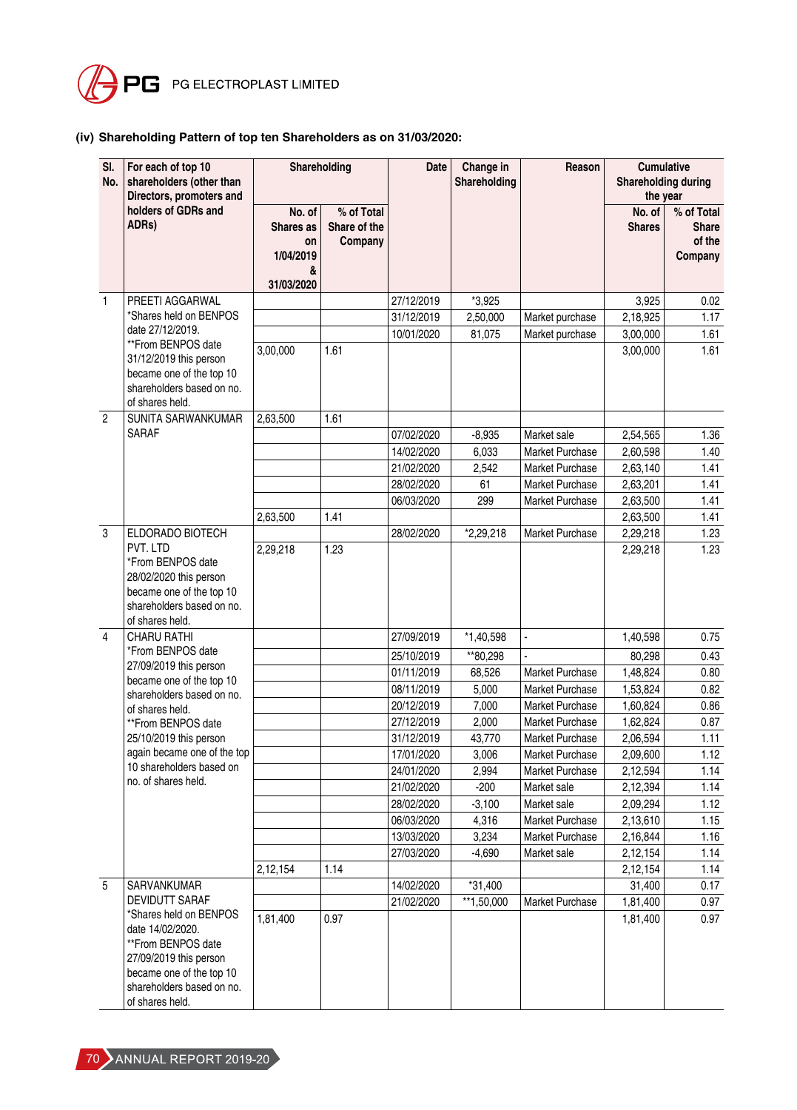

# **(iv) Shareholding Pattern of top ten Shareholders as on 31/03/2020:**

| SI.<br>No.      | For each of top 10<br>shareholders (other than<br>Directors, promoters and                                               |                                                           | Shareholding                          | <b>Date</b> | Change in<br>Shareholding | Reason                 | <b>Cumulative</b><br>Shareholding during<br>the year |                                                 |
|-----------------|--------------------------------------------------------------------------------------------------------------------------|-----------------------------------------------------------|---------------------------------------|-------------|---------------------------|------------------------|------------------------------------------------------|-------------------------------------------------|
|                 | holders of GDRs and<br>ADRs)                                                                                             | No. of<br>Shares as<br>on<br>1/04/2019<br>&<br>31/03/2020 | % of Total<br>Share of the<br>Company |             |                           |                        | No. of<br><b>Shares</b>                              | % of Total<br><b>Share</b><br>of the<br>Company |
| $\mathbf{1}$    | PREETI AGGARWAL                                                                                                          |                                                           |                                       | 27/12/2019  | $*3,925$                  |                        | 3,925                                                | 0.02                                            |
|                 | *Shares held on BENPOS                                                                                                   |                                                           |                                       | 31/12/2019  | 2,50,000                  | Market purchase        | 2,18,925                                             | 1.17                                            |
|                 | date 27/12/2019.                                                                                                         |                                                           |                                       | 10/01/2020  | 81,075                    | Market purchase        | 3,00,000                                             | 1.61                                            |
|                 | **From BENPOS date<br>31/12/2019 this person<br>became one of the top 10<br>shareholders based on no.<br>of shares held. | 3,00,000                                                  | 1.61                                  |             |                           |                        | 3,00,000                                             | 1.61                                            |
| $\overline{2}$  | SUNITA SARWANKUMAR                                                                                                       | 2,63,500                                                  | 1.61                                  |             |                           |                        |                                                      |                                                 |
|                 | <b>SARAF</b>                                                                                                             |                                                           |                                       | 07/02/2020  | $-8,935$                  | Market sale            | 2,54,565                                             | 1.36                                            |
|                 |                                                                                                                          |                                                           |                                       | 14/02/2020  | 6,033                     | Market Purchase        | 2,60,598                                             | 1.40                                            |
|                 |                                                                                                                          |                                                           |                                       | 21/02/2020  | 2,542                     | Market Purchase        | 2,63,140                                             | 1.41                                            |
|                 |                                                                                                                          |                                                           |                                       | 28/02/2020  | 61                        | Market Purchase        | 2,63,201                                             | 1.41                                            |
|                 |                                                                                                                          |                                                           |                                       | 06/03/2020  | 299                       | Market Purchase        | 2,63,500                                             | 1.41                                            |
|                 |                                                                                                                          | 2.63.500                                                  | 1.41                                  |             |                           |                        | 2,63,500                                             | 1.41                                            |
| $\mathbf{3}$    | ELDORADO BIOTECH<br>PVT. LTD                                                                                             |                                                           |                                       | 28/02/2020  | *2,29,218                 | Market Purchase        | 2,29,218                                             | 1.23                                            |
|                 | *From BENPOS date<br>28/02/2020 this person<br>became one of the top 10<br>shareholders based on no.<br>of shares held.  | 2,29,218                                                  | 1.23                                  |             |                           |                        | 2,29,218                                             | 1.23                                            |
| 4               | <b>CHARU RATHI</b>                                                                                                       |                                                           |                                       | 27/09/2019  | $*1,40,598$               |                        | 1,40,598                                             | 0.75                                            |
|                 | *From BENPOS date                                                                                                        |                                                           |                                       | 25/10/2019  | **80.298                  |                        | 80,298                                               | 0.43                                            |
|                 | 27/09/2019 this person<br>became one of the top 10                                                                       |                                                           |                                       | 01/11/2019  | 68,526                    | <b>Market Purchase</b> | 1,48,824                                             | 0.80                                            |
|                 | shareholders based on no.                                                                                                |                                                           |                                       | 08/11/2019  | 5,000                     | <b>Market Purchase</b> | 1,53,824                                             | 0.82                                            |
|                 | of shares held.                                                                                                          |                                                           |                                       | 20/12/2019  | 7,000                     | Market Purchase        | 1,60,824                                             | 0.86                                            |
|                 | **From BENPOS date                                                                                                       |                                                           |                                       | 27/12/2019  | 2,000                     | Market Purchase        | 1,62,824                                             | 0.87                                            |
|                 | 25/10/2019 this person                                                                                                   |                                                           |                                       | 31/12/2019  | 43,770                    | Market Purchase        | 2,06,594                                             | 1.11                                            |
|                 | again became one of the top                                                                                              |                                                           |                                       | 17/01/2020  | 3,006                     | Market Purchase        | 2,09,600                                             | 1.12                                            |
|                 | 10 shareholders based on<br>no. of shares held.                                                                          |                                                           |                                       | 24/01/2020  | 2,994                     | Market Purchase        | 2,12,594                                             | 1.14                                            |
|                 |                                                                                                                          |                                                           |                                       | 21/02/2020  | $-200$                    | Market sale            | 2,12,394                                             | 1.14                                            |
|                 |                                                                                                                          |                                                           |                                       | 28/02/2020  | $-3,100$                  | Market sale            | 2,09,294                                             | 1.12                                            |
|                 |                                                                                                                          |                                                           |                                       | 06/03/2020  | 4,316                     | Market Purchase        | 2,13,610                                             | 1.15                                            |
|                 |                                                                                                                          |                                                           |                                       | 13/03/2020  | 3,234                     | Market Purchase        | 2,16,844                                             | 1.16                                            |
|                 |                                                                                                                          |                                                           |                                       | 27/03/2020  | $-4,690$                  | Market sale            | 2,12,154                                             | 1.14                                            |
|                 |                                                                                                                          | 2,12,154                                                  | 1.14                                  |             |                           |                        | 2,12,154                                             | 1.14                                            |
| $5\phantom{.0}$ | SARVANKUMAR<br>DEVIDUTT SARAF                                                                                            |                                                           |                                       | 14/02/2020  | $*31,400$<br>** 1,50,000  |                        | 31,400                                               | 0.17                                            |
|                 | *Shares held on BENPOS<br>date 14/02/2020.<br>**From BENPOS date                                                         | 1,81,400                                                  | 0.97                                  | 21/02/2020  |                           | Market Purchase        | 1,81,400<br>1,81,400                                 | 0.97<br>0.97                                    |
|                 | 27/09/2019 this person<br>became one of the top 10<br>shareholders based on no.<br>of shares held.                       |                                                           |                                       |             |                           |                        |                                                      |                                                 |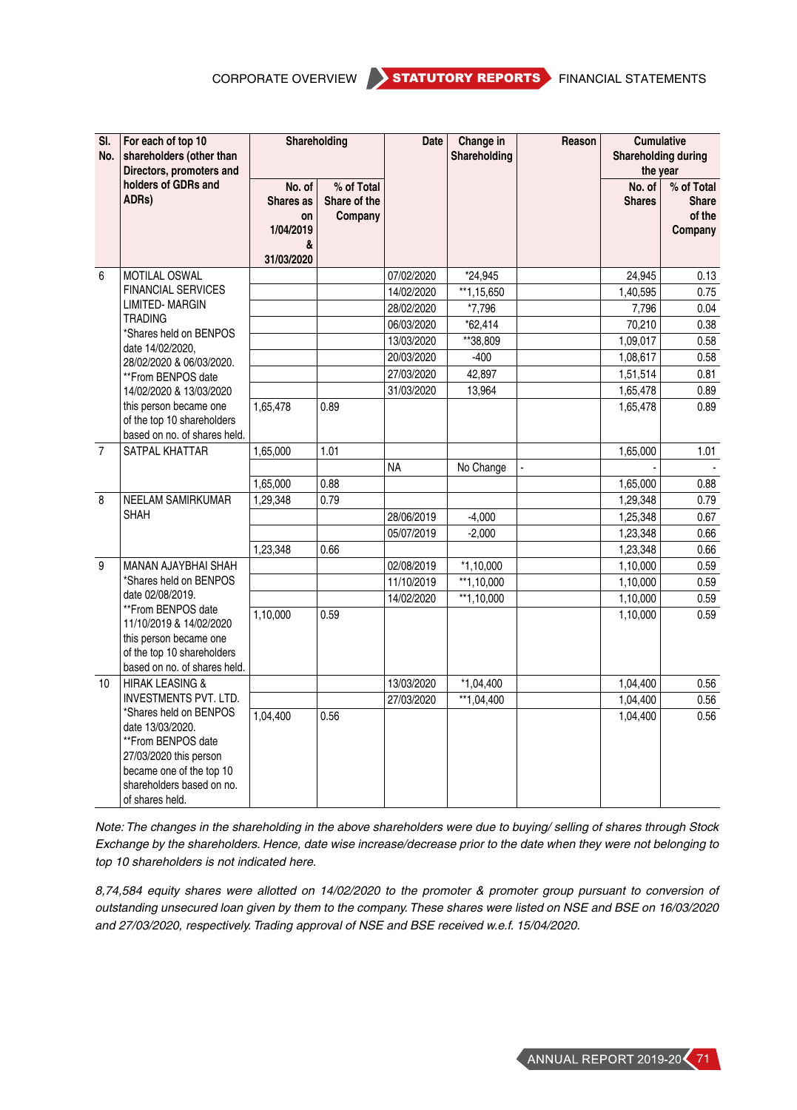CORPORATE OVERVIEW STATUTORY REPORTS FINANCIAL STATEMENTS

| SI.<br>No.     | For each of top 10<br>shareholders (other than<br>Directors, promoters and<br>holders of GDRs and<br>ADRs)                                                             |                                                           | Shareholding                          | <b>Date</b> | Change in<br>Shareholding | Reason | <b>Cumulative</b><br><b>Shareholding during</b><br>the year |                                          |
|----------------|------------------------------------------------------------------------------------------------------------------------------------------------------------------------|-----------------------------------------------------------|---------------------------------------|-------------|---------------------------|--------|-------------------------------------------------------------|------------------------------------------|
|                |                                                                                                                                                                        | No. of<br>Shares as<br>on<br>1/04/2019<br>&<br>31/03/2020 | % of Total<br>Share of the<br>Company |             |                           |        | No. of<br><b>Shares</b>                                     | % of Total<br>Share<br>of the<br>Company |
| 6              | MOTILAL OSWAL                                                                                                                                                          |                                                           |                                       | 07/02/2020  | *24,945                   |        | 24,945                                                      | 0.13                                     |
|                | <b>FINANCIAL SERVICES</b>                                                                                                                                              |                                                           |                                       | 14/02/2020  | $*$ 1,15,650              |        | 1,40,595                                                    | 0.75                                     |
|                | <b>LIMITED-MARGIN</b>                                                                                                                                                  |                                                           |                                       | 28/02/2020  | *7,796                    |        | 7,796                                                       | 0.04                                     |
|                | <b>TRADING</b><br>*Shares held on BENPOS                                                                                                                               |                                                           |                                       | 06/03/2020  | $*62,414$                 |        | 70,210                                                      | 0.38                                     |
|                | date 14/02/2020,                                                                                                                                                       |                                                           |                                       | 13/03/2020  | **38,809                  |        | 1,09,017                                                    | 0.58                                     |
|                | 28/02/2020 & 06/03/2020.                                                                                                                                               |                                                           |                                       | 20/03/2020  | $-400$                    |        | 1,08,617                                                    | 0.58                                     |
|                | **From BENPOS date                                                                                                                                                     |                                                           |                                       | 27/03/2020  | 42,897                    |        | 1,51,514                                                    | 0.81                                     |
|                | 14/02/2020 & 13/03/2020                                                                                                                                                |                                                           |                                       | 31/03/2020  | 13,964                    |        | 1,65,478                                                    | 0.89                                     |
|                | this person became one<br>of the top 10 shareholders<br>based on no. of shares held.                                                                                   | 1,65,478                                                  | 0.89                                  |             |                           |        | 1,65,478                                                    | 0.89                                     |
| $\overline{7}$ | SATPAL KHATTAR                                                                                                                                                         | 1,65,000                                                  | 1.01                                  |             |                           |        | 1,65,000                                                    | 1.01                                     |
|                |                                                                                                                                                                        |                                                           |                                       | <b>NA</b>   | No Change                 |        |                                                             |                                          |
|                |                                                                                                                                                                        | 1,65,000                                                  | 0.88                                  |             |                           |        | 1,65,000                                                    | 0.88                                     |
| 8              | NEELAM SAMIRKUMAR                                                                                                                                                      | 1,29,348                                                  | 0.79                                  |             |                           |        | 1,29,348                                                    | 0.79                                     |
|                | <b>SHAH</b>                                                                                                                                                            |                                                           |                                       | 28/06/2019  | $-4,000$                  |        | 1,25,348                                                    | 0.67                                     |
|                |                                                                                                                                                                        |                                                           |                                       | 05/07/2019  | $-2.000$                  |        | 1,23,348                                                    | 0.66                                     |
|                |                                                                                                                                                                        | 1.23.348                                                  | 0.66                                  |             |                           |        | 1,23,348                                                    | 0.66                                     |
| 9              | MANAN AJAYBHAI SHAH                                                                                                                                                    |                                                           |                                       | 02/08/2019  | $*1,10,000$               |        | 1,10,000                                                    | 0.59                                     |
|                | *Shares held on BENPOS                                                                                                                                                 |                                                           |                                       | 11/10/2019  | $**1,10,000$              |        | 1,10,000                                                    | 0.59                                     |
|                | date 02/08/2019.<br>**From BENPOS date                                                                                                                                 |                                                           |                                       | 14/02/2020  | $*1,10,000$               |        | 1,10,000                                                    | 0.59                                     |
|                | 11/10/2019 & 14/02/2020<br>this person became one<br>of the top 10 shareholders<br>based on no. of shares held.                                                        | 1,10,000                                                  | 0.59                                  |             |                           |        | 1,10,000                                                    | 0.59                                     |
| 10             | <b>HIRAK LEASING &amp;</b>                                                                                                                                             |                                                           |                                       | 13/03/2020  | $*1,04,400$               |        | 1,04,400                                                    | 0.56                                     |
|                | <b>INVESTMENTS PVT. LTD.</b>                                                                                                                                           |                                                           |                                       | 27/03/2020  | **1.04.400                |        | 1,04,400                                                    | 0.56                                     |
|                | *Shares held on BENPOS<br>date 13/03/2020.<br>**From BENPOS date<br>27/03/2020 this person<br>became one of the top 10<br>shareholders based on no.<br>of shares held. | 1,04,400                                                  | 0.56                                  |             |                           |        | 1,04,400                                                    | 0.56                                     |

*Note: The changes in the shareholding in the above shareholders were due to buying/ selling of shares through Stock Exchange by the shareholders. Hence, date wise increase/decrease prior to the date when they were not belonging to top 10 shareholders is not indicated here.*

*8,74,584 equity shares were allotted on 14/02/2020 to the promoter & promoter group pursuant to conversion of outstanding unsecured loan given by them to the company. These shares were listed on NSE and BSE on 16/03/2020 and 27/03/2020, respectively. Trading approval of NSE and BSE received w.e.f. 15/04/2020.*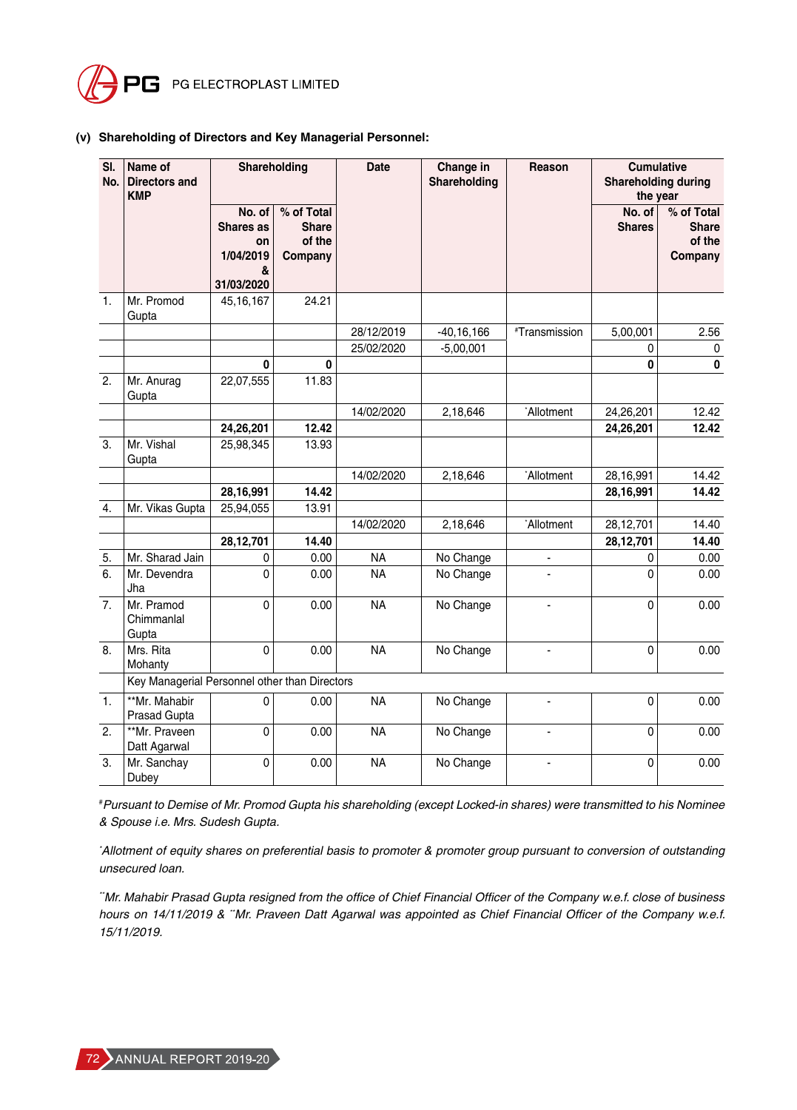

### **(v) Shareholding of Directors and Key Managerial Personnel:**

| SI.<br>No.     | Name of<br><b>Directors and</b><br><b>KMP</b> | Shareholding                                              |                                                 | <b>Date</b> | Change in<br>Shareholding | Reason                 | <b>Cumulative</b><br><b>Shareholding during</b><br>the year |                                                 |
|----------------|-----------------------------------------------|-----------------------------------------------------------|-------------------------------------------------|-------------|---------------------------|------------------------|-------------------------------------------------------------|-------------------------------------------------|
|                |                                               | No. of<br>Shares as<br>on<br>1/04/2019<br>&<br>31/03/2020 | % of Total<br><b>Share</b><br>of the<br>Company |             |                           |                        | No. of<br><b>Shares</b>                                     | % of Total<br><b>Share</b><br>of the<br>Company |
| $\mathbf{1}$ . | Mr. Promod<br>Gupta                           | 45, 16, 167                                               | 24.21                                           |             |                           |                        |                                                             |                                                 |
|                |                                               |                                                           |                                                 | 28/12/2019  | $-40, 16, 166$            | #Transmission          | 5,00,001                                                    | 2.56                                            |
|                |                                               |                                                           |                                                 | 25/02/2020  | $-5,00,001$               |                        | 0                                                           | 0                                               |
|                |                                               | 0                                                         | $\mathbf 0$                                     |             |                           |                        | 0                                                           | $\bf{0}$                                        |
| 2.             | Mr. Anurag<br>Gupta                           | 22,07,555                                                 | 11.83                                           |             |                           |                        |                                                             |                                                 |
|                |                                               |                                                           |                                                 | 14/02/2020  | 2,18,646                  | *Allotment             | 24,26,201                                                   | 12.42                                           |
|                |                                               | 24,26,201                                                 | 12.42                                           |             |                           |                        | 24,26,201                                                   | 12.42                                           |
| 3.             | Mr. Vishal<br>Gupta                           | 25,98,345                                                 | 13.93                                           |             |                           |                        |                                                             |                                                 |
|                |                                               |                                                           |                                                 | 14/02/2020  | 2,18,646                  | Allotment <sup>*</sup> | 28,16,991                                                   | 14.42                                           |
|                |                                               | 28,16,991                                                 | 14.42                                           |             |                           |                        | 28,16,991                                                   | 14.42                                           |
| 4.             | Mr. Vikas Gupta                               | 25,94,055                                                 | 13.91                                           |             |                           |                        |                                                             |                                                 |
|                |                                               |                                                           |                                                 | 14/02/2020  | 2,18,646                  | Allotment <sup>*</sup> | 28,12,701                                                   | 14.40                                           |
|                |                                               | 28,12,701                                                 | 14.40                                           |             |                           |                        | 28,12,701                                                   | 14.40                                           |
| 5.             | Mr. Sharad Jain                               | 0                                                         | 0.00                                            | <b>NA</b>   | No Change                 |                        | 0                                                           | 0.00                                            |
| 6.             | Mr. Devendra<br>Jha                           | 0                                                         | 0.00                                            | <b>NA</b>   | No Change                 | $\overline{a}$         | 0                                                           | 0.00                                            |
| 7.             | Mr. Pramod<br>Chimmanlal<br>Gupta             | 0                                                         | 0.00                                            | <b>NA</b>   | No Change                 | $\blacksquare$         | 0                                                           | 0.00                                            |
| 8.             | Mrs. Rita<br>Mohanty                          | 0                                                         | 0.00                                            | <b>NA</b>   | No Change                 | $\overline{a}$         | 0                                                           | 0.00                                            |
|                | Key Managerial Personnel other than Directors |                                                           |                                                 |             |                           |                        |                                                             |                                                 |
| 1.             | **Mr. Mahabir<br>Prasad Gupta                 | 0                                                         | 0.00                                            | <b>NA</b>   | No Change                 |                        | 0                                                           | 0.00                                            |
| 2.             | **Mr. Praveen<br>Datt Agarwal                 | 0                                                         | 0.00                                            | <b>NA</b>   | No Change                 | $\blacksquare$         | 0                                                           | 0.00                                            |
| 3.             | Mr. Sanchay<br>Dubey                          | 0                                                         | 0.00                                            | <b>NA</b>   | No Change                 |                        | 0                                                           | 0.00                                            |

# *Pursuant to Demise of Mr. Promod Gupta his shareholding (except Locked-in shares) were transmitted to his Nominee & Spouse i.e. Mrs. Sudesh Gupta.*

*\* Allotment of equity shares on preferential basis to promoter & promoter group pursuant to conversion of outstanding unsecured loan.*

*\*\*Mr. Mahabir Prasad Gupta resigned from the office of Chief Financial Officer of the Company w.e.f. close of business hours on 14/11/2019 & \*\*Mr. Praveen Datt Agarwal was appointed as Chief Financial Officer of the Company w.e.f. 15/11/2019.*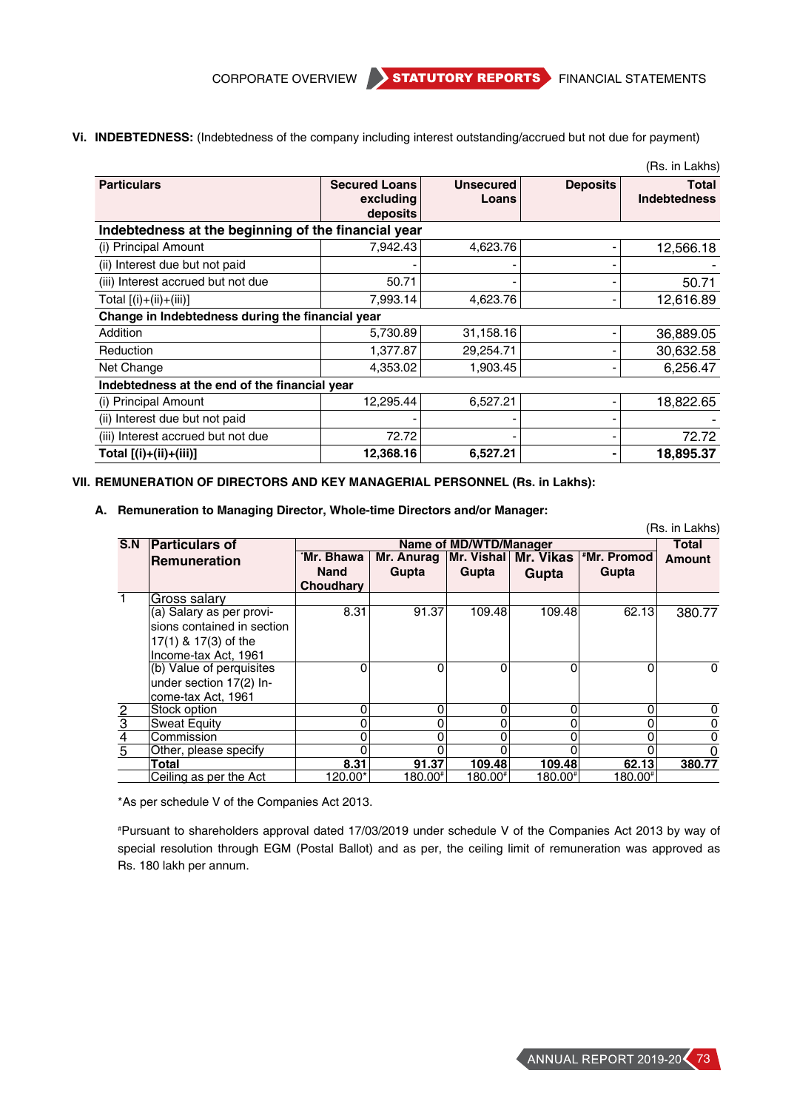CORPORATE OVERVIEW STATUTORY REPORTS FINANCIAL STATEMENTS

- (Rs. in Lakhs) **Particulars Particulars Secured Loans excluding deposits Unsecured Loans Deposits Total Indebtedness Indebtedness at the beginning of the financial year** (i) Principal Amount  $7,942.43$   $4,623.76$   $-$  12,566.18 (ii) Interest due but not paid  $\overline{\phantom{a}}$  -  $\overline{\phantom{a}}$  -(iii) Interest accrued but not due  $\begin{vmatrix} 50.71 \end{vmatrix}$   $\begin{vmatrix} -1 \end{vmatrix}$   $\begin{vmatrix} -1 \end{vmatrix}$   $\begin{vmatrix} -1 \end{vmatrix}$   $\begin{vmatrix} 50.71 \end{vmatrix}$ Total [(i)+(ii)+(iii)] 7,993.14 4,623.76 - 12,616.89 **Change in Indebtedness during the financial year** Addition 5,730.89 31,158.16 - 36,889.05 Reduction 1,377.87 29,254.71 - 30,632.58 Net Change 4,353.02 1,903.45 - 6,256.47 **Indebtedness at the end of the financial year** (i) Principal Amount  $\begin{vmatrix} 12,295.44 & 6,527.21 & -18,822.65 \end{vmatrix}$ (ii) Interest due but not paid - - - - (iii) Interest accrued but not due 72.72 - - 72.72 **Total [(i)+(ii)+(iii)]** 12,368.16 6,527.21 - 18,895.37
- **Vi. INDEBTEDNESS:** (Indebtedness of the company including interest outstanding/accrued but not due for payment)

# **VII. REMUNERATION OF DIRECTORS AND KEY MANAGERIAL PERSONNEL (Rs. in Lakhs):**

**A. Remuneration to Managing Director, Whole-time Directors and/or Manager:** 

|                             |                            |             |         |                        |         |                                                   | (Rs. in Lakhs) |
|-----------------------------|----------------------------|-------------|---------|------------------------|---------|---------------------------------------------------|----------------|
| S.N                         | <b>Particulars of</b>      |             |         | Name of MD/WTD/Manager |         |                                                   | <b>Total</b>   |
|                             | <b>Remuneration</b>        | `Mr. Bhawa  |         |                        |         | Mr. Anurag   Mr. Vishal   Mr. Vikas   *Mr. Promod | <b>Amount</b>  |
|                             |                            | <b>Nand</b> | Gupta   | Gupta                  | Gupta   | Gupta                                             |                |
|                             |                            | Choudhary   |         |                        |         |                                                   |                |
| 1                           | Gross salary               |             |         |                        |         |                                                   |                |
|                             | (a) Salary as per provi-   | 8.31        | 91.37   | 109.48                 | 109.48  | 62.13                                             | 380.77         |
|                             | sions contained in section |             |         |                        |         |                                                   |                |
|                             | 17(1) & 17(3) of the       |             |         |                        |         |                                                   |                |
|                             | Income-tax Act, 1961       |             |         |                        |         |                                                   |                |
|                             | (b) Value of perquisites   | 0           | 0       | 0                      | 0       | $\Omega$                                          | $\Omega$       |
|                             | under section 17(2) In-    |             |         |                        |         |                                                   |                |
|                             | come-tax Act, 1961         |             |         |                        |         |                                                   |                |
|                             | Stock option               | 0           | 0       | 0                      | 0       | 0                                                 | 0              |
| $\frac{2}{3}$ $\frac{4}{5}$ | <b>Sweat Equity</b>        | 0           | 0       |                        | 0       | 0                                                 | 0              |
|                             | Commission                 | 0           | 0       |                        | 0       | 0                                                 | 0              |
|                             | Other, please specify      | Ω           |         |                        | O       |                                                   |                |
|                             | Total                      | 8.31        | 91.37   | 109.48                 | 109.48  | 62.13                                             | 380.77         |
|                             | Ceiling as per the Act     | 120.00*     | 180.00# | 180.00#                | 180.00# | 180.00#1                                          |                |

\*As per schedule V of the Companies Act 2013.

# Pursuant to shareholders approval dated 17/03/2019 under schedule V of the Companies Act 2013 by way of special resolution through EGM (Postal Ballot) and as per, the ceiling limit of remuneration was approved as Rs. 180 lakh per annum.